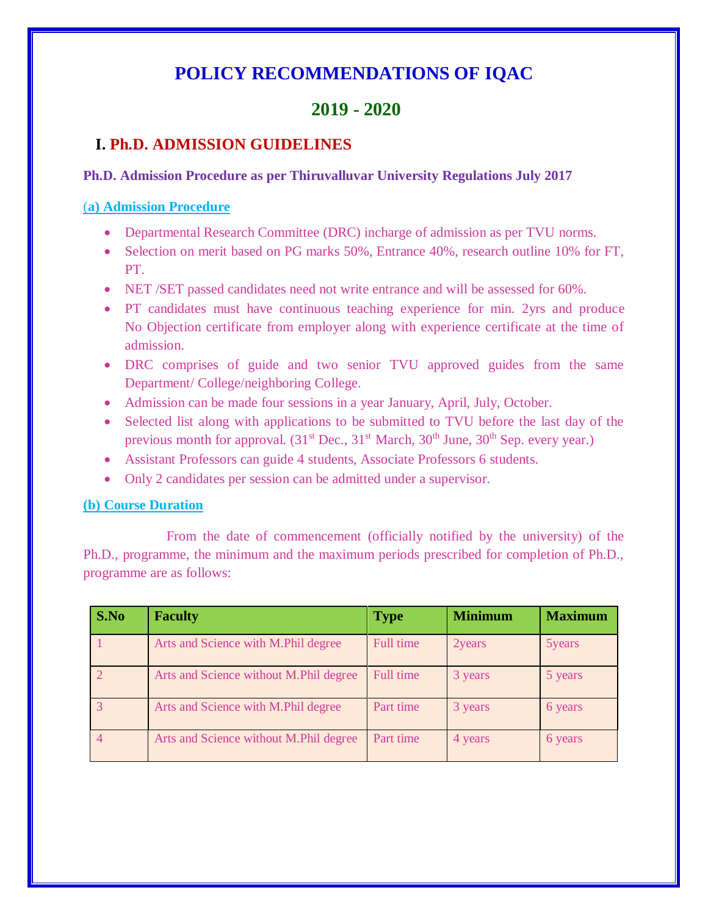# **POLICY RECOMMENDATIONS OF IQAC**

# **2019 - 2020**

## **I. Ph.D. ADMISSION GUIDELINES**

#### **Ph.D. Admission Procedure as per Thiruvalluvar University Regulations July 2017**

#### (**a) Admission Procedure**

- Departmental Research Committee (DRC) incharge of admission as per TVU norms.
- Selection on merit based on PG marks 50%, Entrance 40%, research outline 10% for FT, PT.
- NET /SET passed candidates need not write entrance and will be assessed for 60%.
- PT candidates must have continuous teaching experience for min. 2yrs and produce No Objection certificate from employer along with experience certificate at the time of admission.
- DRC comprises of guide and two senior TVU approved guides from the same Department/ College/neighboring College.
- Admission can be made four sessions in a year January, April, July, October.
- Selected list along with applications to be submitted to TVU before the last day of the previous month for approval.  $(31<sup>st</sup> Dec., 31<sup>st</sup> March, 30<sup>th</sup> June, 30<sup>th</sup> Sep. every year.)$
- Assistant Professors can guide 4 students, Associate Professors 6 students.
- Only 2 candidates per session can be admitted under a supervisor.

### **(b) Course Duration**

From the date of commencement (officially notified by the university) of the Ph.D., programme, the minimum and the maximum periods prescribed for completion of Ph.D., programme are as follows:

| S.No | <b>Faculty</b>                         | <b>Type</b> | <b>Minimum</b> | <b>Maximum</b> |
|------|----------------------------------------|-------------|----------------|----------------|
|      | Arts and Science with M.Phil degree    | Full time   | 2years         | 5years         |
|      | Arts and Science without M.Phil degree | Full time   | 3 years        | 5 years        |
|      | Arts and Science with M.Phil degree    | Part time   | 3 years        | 6 years        |
|      | Arts and Science without M.Phil degree | Part time   | 4 years        | 6 years        |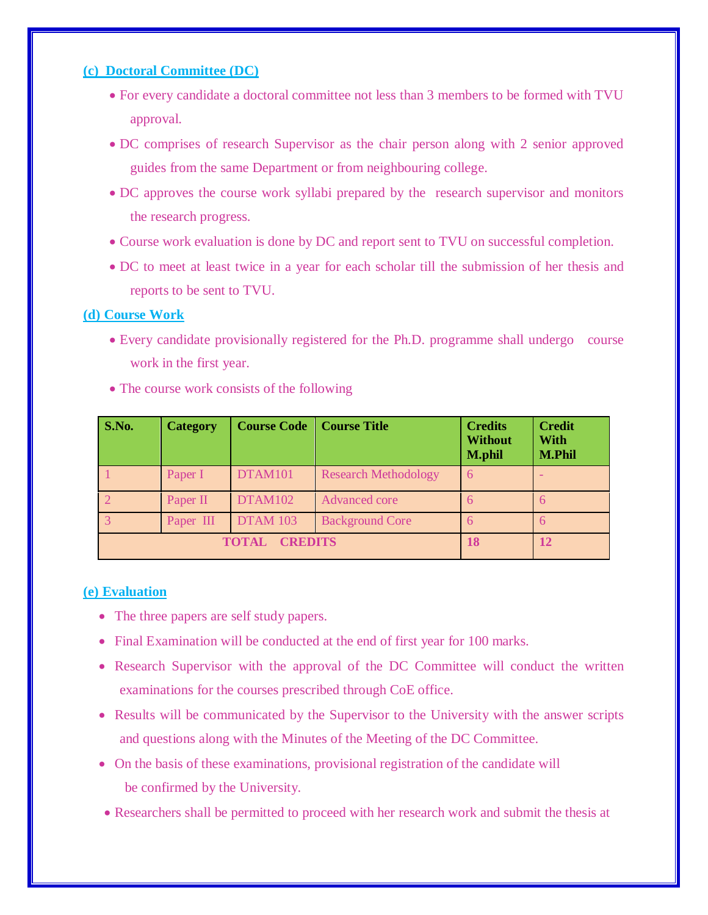#### **(c) Doctoral Committee (DC)**

- For every candidate a doctoral committee not less than 3 members to be formed with TVU approval.
- DC comprises of research Supervisor as the chair person along with 2 senior approved guides from the same Department or from neighbouring college.
- DC approves the course work syllabi prepared by the research supervisor and monitors the research progress.
- Course work evaluation is done by DC and report sent to TVU on successful completion.
- DC to meet at least twice in a year for each scholar till the submission of her thesis and reports to be sent to TVU.

#### **(d) Course Work**

 Every candidate provisionally registered for the Ph.D. programme shall undergo course work in the first year.

| S.No.                          | <b>Category</b> | <b>Course Code</b> | <b>Course Title</b>         | <b>Credits</b><br><b>Without</b><br><b>M.phil</b> | <b>Credit</b><br><b>With</b><br><b>M.Phil</b> |
|--------------------------------|-----------------|--------------------|-----------------------------|---------------------------------------------------|-----------------------------------------------|
|                                | Paper I         | DTAM101            | <b>Research Methodology</b> | 6                                                 |                                               |
|                                | Paper II        | <b>DTAM102</b>     | Advanced core               | 6                                                 |                                               |
|                                | Paper III       | <b>DTAM 103</b>    | <b>Background Core</b>      | 6                                                 |                                               |
| <b>CREDITS</b><br><b>TOTAL</b> |                 |                    | 18                          | 12                                                |                                               |

• The course work consists of the following

#### **(e) Evaluation**

- The three papers are self study papers.
- Final Examination will be conducted at the end of first year for 100 marks.
- Research Supervisor with the approval of the DC Committee will conduct the written examinations for the courses prescribed through CoE office.
- Results will be communicated by the Supervisor to the University with the answer scripts and questions along with the Minutes of the Meeting of the DC Committee.
- On the basis of these examinations, provisional registration of the candidate will be confirmed by the University.
- Researchers shall be permitted to proceed with her research work and submit the thesis at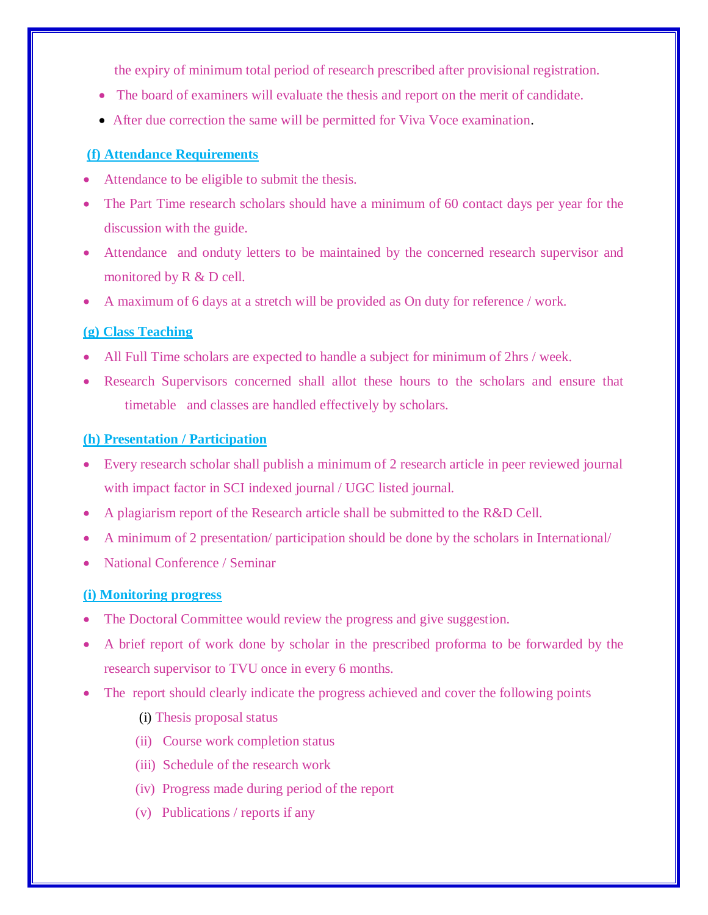the expiry of minimum total period of research prescribed after provisional registration.

- The board of examiners will evaluate the thesis and report on the merit of candidate.
- After due correction the same will be permitted for Viva Voce examination.

#### **(f) Attendance Requirements**

- Attendance to be eligible to submit the thesis.
- The Part Time research scholars should have a minimum of 60 contact days per year for the discussion with the guide.
- Attendance and onduty letters to be maintained by the concerned research supervisor and monitored by R & D cell.
- A maximum of 6 days at a stretch will be provided as On duty for reference / work.

#### **(g) Class Teaching**

- All Full Time scholars are expected to handle a subject for minimum of 2hrs / week.
- Research Supervisors concerned shall allot these hours to the scholars and ensure that timetable and classes are handled effectively by scholars.

#### **(h) Presentation / Participation**

- Every research scholar shall publish a minimum of 2 research article in peer reviewed journal with impact factor in SCI indexed journal / UGC listed journal.
- A plagiarism report of the Research article shall be submitted to the R&D Cell.
- A minimum of 2 presentation/ participation should be done by the scholars in International/
- National Conference / Seminar

#### **(i) Monitoring progress**

- The Doctoral Committee would review the progress and give suggestion.
- A brief report of work done by scholar in the prescribed proforma to be forwarded by the research supervisor to TVU once in every 6 months.
- The report should clearly indicate the progress achieved and cover the following points
	- (i) Thesis proposal status
	- (ii) Course work completion status
	- (iii) Schedule of the research work
	- (iv) Progress made during period of the report
	- (v) Publications / reports if any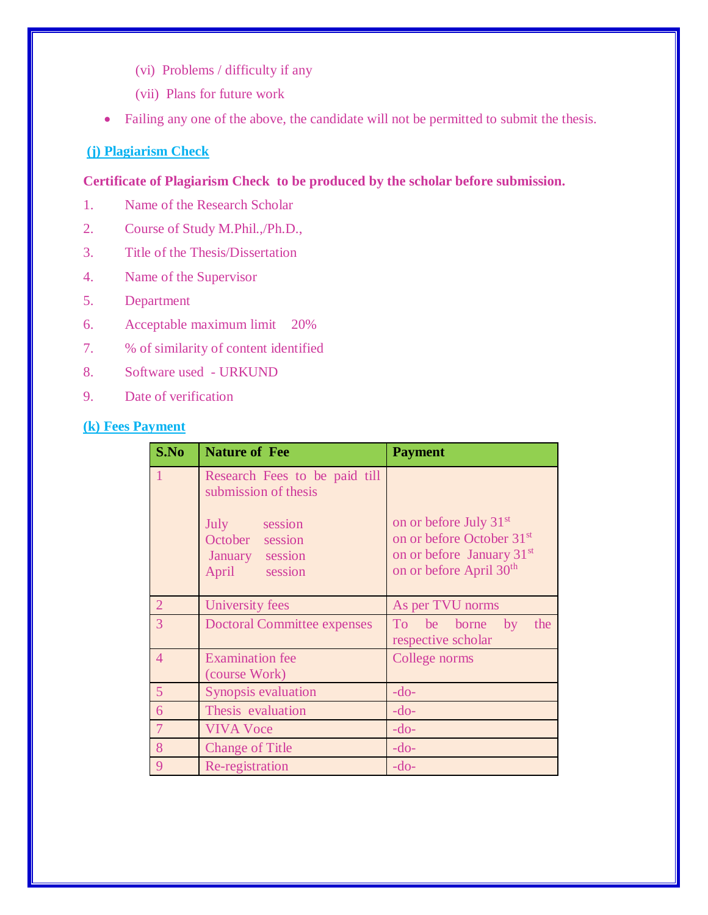- (vi) Problems / difficulty if any
- (vii) Plans for future work
- Failing any one of the above, the candidate will not be permitted to submit the thesis.

### **(j) Plagiarism Check**

**Certificate of Plagiarism Check to be produced by the scholar before submission.**

- 1. Name of the Research Scholar
- 2. Course of Study M.Phil.,/Ph.D.,
- 3. Title of the Thesis/Dissertation
- 4. Name of the Supervisor
- 5. Department
- 6. Acceptable maximum limit 20%
- 7. % of similarity of content identified
- 8. Software used URKUND
- 9. Date of verification

## **(k) Fees Payment**

| S.No           | <b>Nature of Fee</b>                                                | <b>Payment</b>                                                                                                                                              |  |  |
|----------------|---------------------------------------------------------------------|-------------------------------------------------------------------------------------------------------------------------------------------------------------|--|--|
| 1              | Research Fees to be paid till<br>submission of thesis               |                                                                                                                                                             |  |  |
|                | July session<br>October session<br>January session<br>April session | on or before July 31 <sup>st</sup><br>on or before October 31 <sup>st</sup><br>on or before January 31 <sup>st</sup><br>on or before April 30 <sup>th</sup> |  |  |
| $\overline{2}$ | University fees                                                     | As per TVU norms                                                                                                                                            |  |  |
| 3              | <b>Doctoral Committee expenses</b>                                  | To be borne by<br>the<br>respective scholar                                                                                                                 |  |  |
| $\overline{4}$ | <b>Examination</b> fee<br>(course Work)                             | College norms                                                                                                                                               |  |  |
| 5              | Synopsis evaluation                                                 | $-do-$                                                                                                                                                      |  |  |
| 6              | Thesis evaluation                                                   | $-do-$                                                                                                                                                      |  |  |
| $\overline{7}$ | <b>VIVA Voce</b>                                                    | $-do-$                                                                                                                                                      |  |  |
| 8              | <b>Change of Title</b>                                              | $-do-$                                                                                                                                                      |  |  |
| 9              | Re-registration                                                     | $-do-$                                                                                                                                                      |  |  |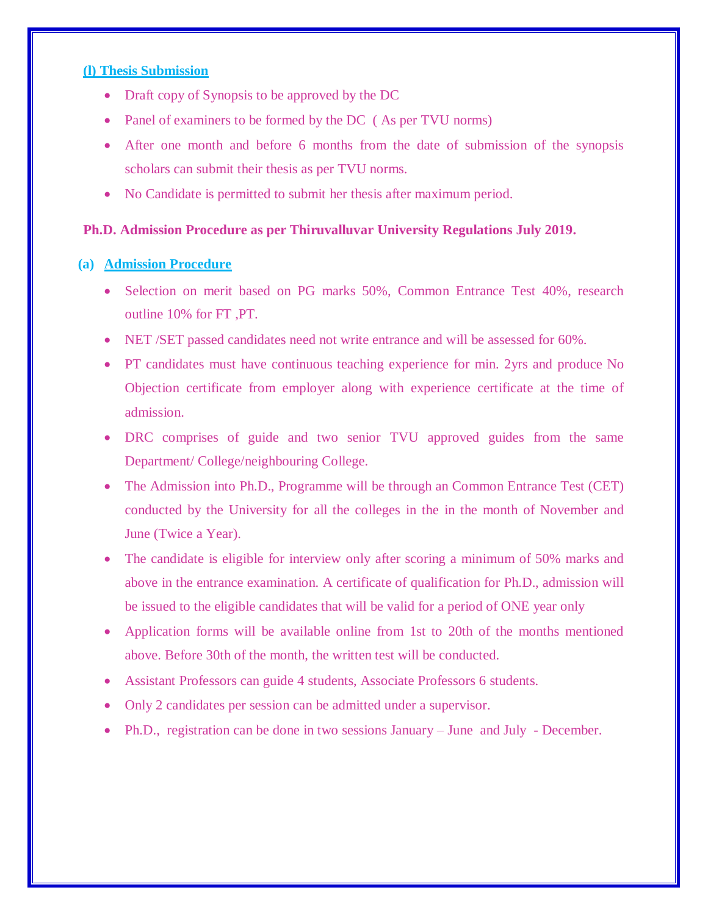#### **(l) Thesis Submission**

- Draft copy of Synopsis to be approved by the DC
- Panel of examiners to be formed by the DC (As per TVU norms)
- After one month and before 6 months from the date of submission of the synopsis scholars can submit their thesis as per TVU norms.
- No Candidate is permitted to submit her thesis after maximum period.

#### **Ph.D. Admission Procedure as per Thiruvalluvar University Regulations July 2019.**

#### **(a) Admission Procedure**

- Selection on merit based on PG marks 50%, Common Entrance Test 40%, research outline 10% for FT ,PT.
- NET /SET passed candidates need not write entrance and will be assessed for 60%.
- PT candidates must have continuous teaching experience for min. 2yrs and produce No Objection certificate from employer along with experience certificate at the time of admission.
- DRC comprises of guide and two senior TVU approved guides from the same Department/ College/neighbouring College.
- The Admission into Ph.D., Programme will be through an Common Entrance Test (CET) conducted by the University for all the colleges in the in the month of November and June (Twice a Year).
- The candidate is eligible for interview only after scoring a minimum of 50% marks and above in the entrance examination. A certificate of qualification for Ph.D., admission will be issued to the eligible candidates that will be valid for a period of ONE year only
- Application forms will be available online from 1st to 20th of the months mentioned above. Before 30th of the month, the written test will be conducted.
- Assistant Professors can guide 4 students, Associate Professors 6 students.
- Only 2 candidates per session can be admitted under a supervisor.
- Ph.D., registration can be done in two sessions January June and July December.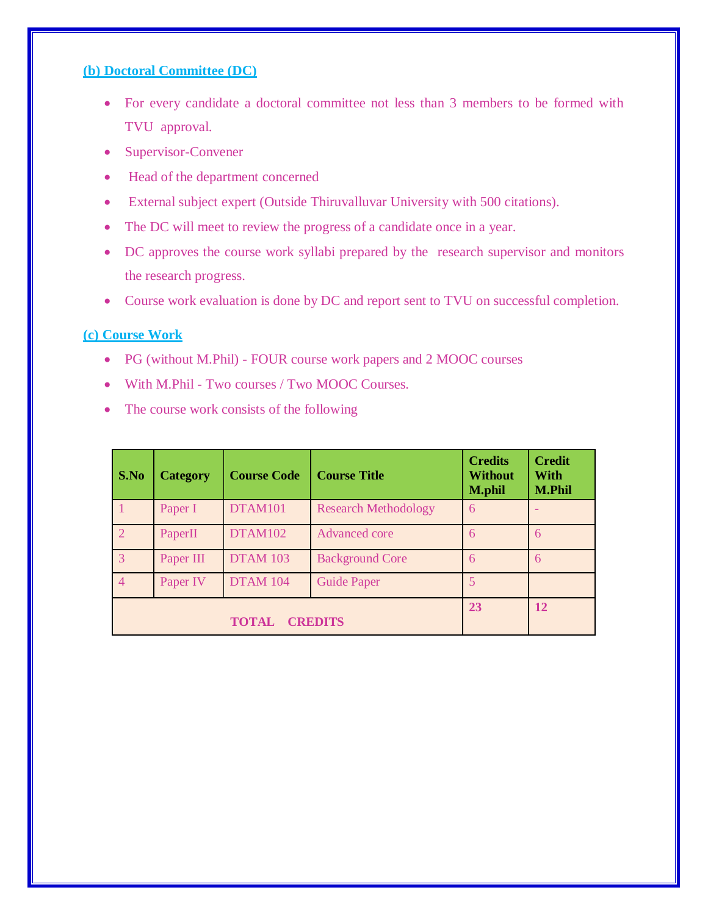#### **(b) Doctoral Committee (DC)**

- For every candidate a doctoral committee not less than 3 members to be formed with TVU approval.
- Supervisor-Convener
- Head of the department concerned
- External subject expert (Outside Thiruvalluvar University with 500 citations).
- The DC will meet to review the progress of a candidate once in a year.
- DC approves the course work syllabi prepared by the research supervisor and monitors the research progress.
- Course work evaluation is done by DC and report sent to TVU on successful completion.

#### **(c) Course Work**

- PG (without M.Phil) FOUR course work papers and 2 MOOC courses
- With M.Phil Two courses / Two MOOC Courses.
- The course work consists of the following

| S.No                           | <b>Category</b> | <b>Course Code</b> | <b>Course Title</b>         | <b>Credits</b><br><b>Without</b><br><b>M.phil</b> | <b>Credit</b><br><b>With</b><br><b>M.Phil</b> |
|--------------------------------|-----------------|--------------------|-----------------------------|---------------------------------------------------|-----------------------------------------------|
|                                | Paper I         | DTAM101            | <b>Research Methodology</b> | 6                                                 |                                               |
|                                | PaperII         | DTAM102            | Advanced core               | 6                                                 | 6                                             |
| 3                              | Paper III       | <b>DTAM 103</b>    | <b>Background Core</b>      | 6                                                 | 6                                             |
| $\overline{4}$                 | Paper IV        | <b>DTAM 104</b>    | <b>Guide Paper</b>          | 5                                                 |                                               |
| <b>CREDITS</b><br><b>TOTAL</b> |                 |                    |                             | 23                                                | <b>12</b>                                     |